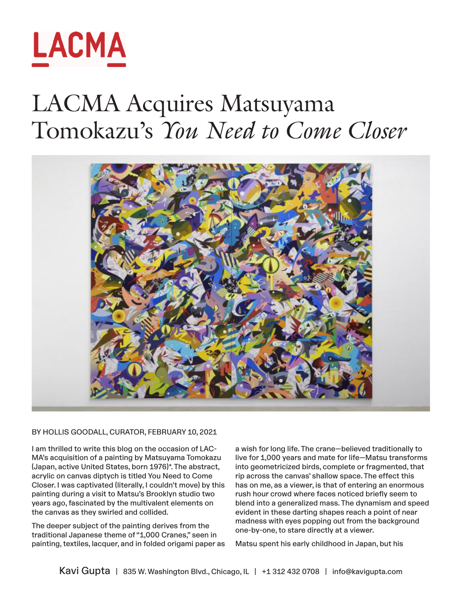

## LACMA Acquires Matsuyama Tomokazu's *You Need to Come Closer*



BY HOLLIS GOODALL, CURATOR, FEBRUARY 10, 2021

I am thrilled to write this blog on the occasion of LAC-MA's acquisition of a painting by Matsuyama Tomokazu (Japan, active United States, born 1976)\*. The abstract, acrylic on canvas diptych is titled You Need to Come Closer. I was captivated (literally, I couldn't move) by this painting during a visit to Matsu's Brooklyn studio two years ago, fascinated by the multivalent elements on the canvas as they swirled and collided.

The deeper subject of the painting derives from the traditional Japanese theme of "1,000 Cranes," seen in painting, textiles, lacquer, and in folded origami paper as a wish for long life. The crane—believed traditionally to live for 1,000 years and mate for life—Matsu transforms into geometricized birds, complete or fragmented, that rip across the canvas' shallow space. The effect this has on me, as a viewer, is that of entering an enormous rush hour crowd where faces noticed briefly seem to blend into a generalized mass. The dynamism and speed evident in these darting shapes reach a point of near madness with eyes popping out from the background one-by-one, to stare directly at a viewer.

Matsu spent his early childhood in Japan, but his